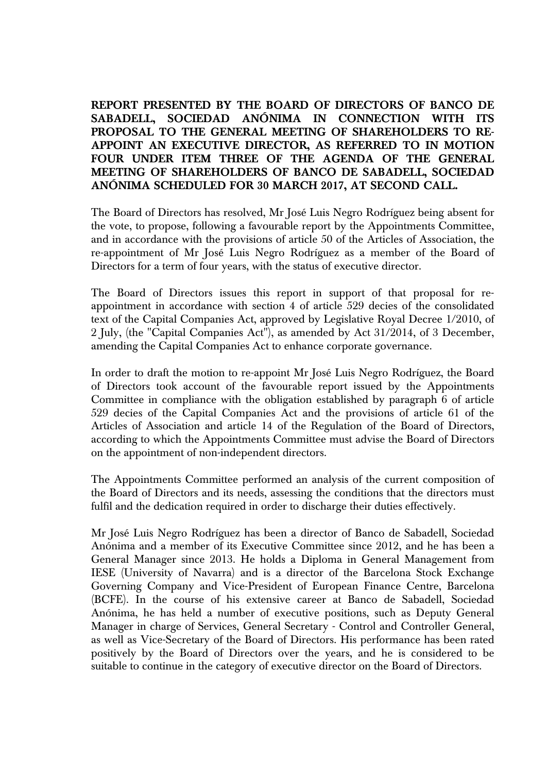**REPORT PRESENTED BY THE BOARD OF DIRECTORS OF BANCO DE SABADELL, SOCIEDAD ANÓNIMA IN CONNECTION WITH ITS PROPOSAL TO THE GENERAL MEETING OF SHAREHOLDERS TO RE-APPOINT AN EXECUTIVE DIRECTOR, AS REFERRED TO IN MOTION FOUR UNDER ITEM THREE OF THE AGENDA OF THE GENERAL MEETING OF SHAREHOLDERS OF BANCO DE SABADELL, SOCIEDAD ANÓNIMA SCHEDULED FOR 30 MARCH 2017, AT SECOND CALL.** 

The Board of Directors has resolved, Mr José Luis Negro Rodríguez being absent for the vote, to propose, following a favourable report by the Appointments Committee, and in accordance with the provisions of article 50 of the Articles of Association, the re-appointment of Mr José Luis Negro Rodríguez as a member of the Board of Directors for a term of four years, with the status of executive director.

The Board of Directors issues this report in support of that proposal for reappointment in accordance with section 4 of article 529 decies of the consolidated text of the Capital Companies Act, approved by Legislative Royal Decree 1/2010, of 2 July, (the "Capital Companies Act"), as amended by Act 31/2014, of 3 December, amending the Capital Companies Act to enhance corporate governance.

In order to draft the motion to re-appoint Mr José Luis Negro Rodríguez, the Board of Directors took account of the favourable report issued by the Appointments Committee in compliance with the obligation established by paragraph 6 of article 529 decies of the Capital Companies Act and the provisions of article 61 of the Articles of Association and article 14 of the Regulation of the Board of Directors, according to which the Appointments Committee must advise the Board of Directors on the appointment of non-independent directors.

The Appointments Committee performed an analysis of the current composition of the Board of Directors and its needs, assessing the conditions that the directors must fulfil and the dedication required in order to discharge their duties effectively.

Mr José Luis Negro Rodríguez has been a director of Banco de Sabadell, Sociedad Anónima and a member of its Executive Committee since 2012, and he has been a General Manager since 2013. He holds a Diploma in General Management from IESE (University of Navarra) and is a director of the Barcelona Stock Exchange Governing Company and Vice-President of European Finance Centre, Barcelona (BCFE). In the course of his extensive career at Banco de Sabadell, Sociedad Anónima, he has held a number of executive positions, such as Deputy General Manager in charge of Services, General Secretary - Control and Controller General, as well as Vice-Secretary of the Board of Directors. His performance has been rated positively by the Board of Directors over the years, and he is considered to be suitable to continue in the category of executive director on the Board of Directors.